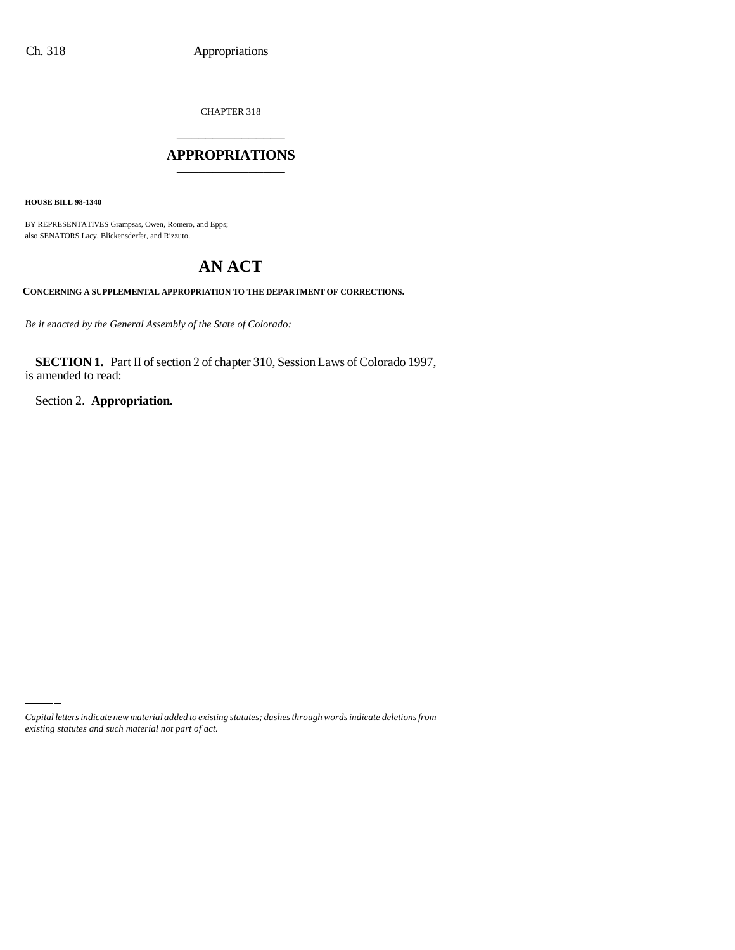CHAPTER 318 \_\_\_\_\_\_\_\_\_\_\_\_\_\_\_

### **APPROPRIATIONS** \_\_\_\_\_\_\_\_\_\_\_\_\_\_\_

**HOUSE BILL 98-1340**

BY REPRESENTATIVES Grampsas, Owen, Romero, and Epps; also SENATORS Lacy, Blickensderfer, and Rizzuto.

# **AN ACT**

**CONCERNING A SUPPLEMENTAL APPROPRIATION TO THE DEPARTMENT OF CORRECTIONS.**

*Be it enacted by the General Assembly of the State of Colorado:*

**SECTION 1.** Part II of section 2 of chapter 310, Session Laws of Colorado 1997, is amended to read:

Section 2. **Appropriation.**

*Capital letters indicate new material added to existing statutes; dashes through words indicate deletions from existing statutes and such material not part of act.*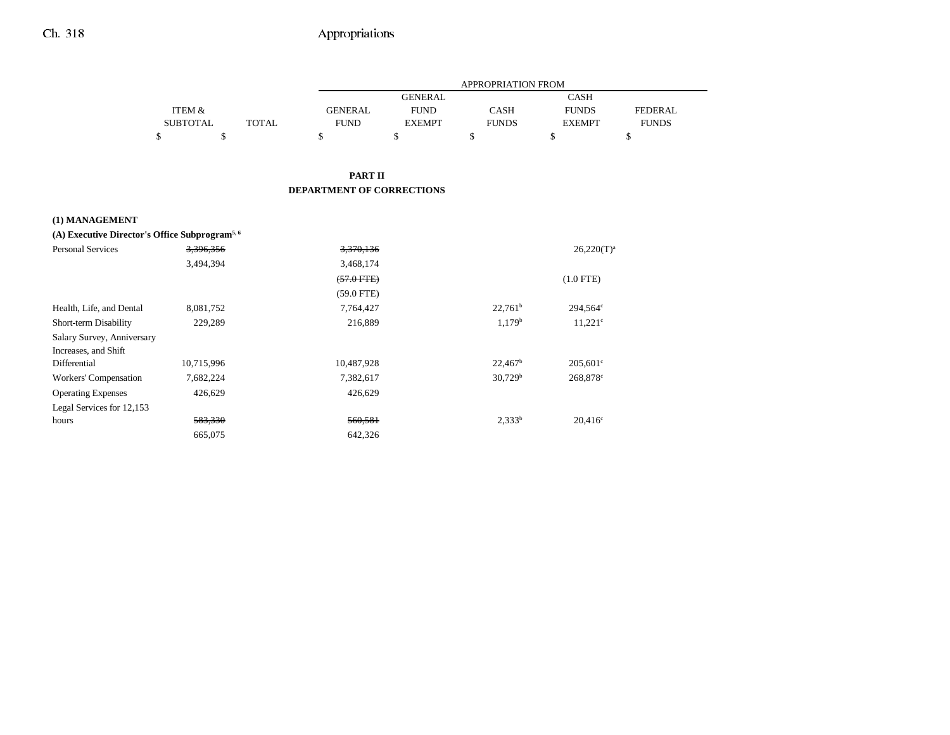|                 |              |             |                | <b>APPROPRIATION FROM</b> |               |              |
|-----------------|--------------|-------------|----------------|---------------------------|---------------|--------------|
|                 |              |             | <b>GENERAL</b> |                           | <b>CASH</b>   |              |
| ITEM &          |              | GENERAL     | <b>FUND</b>    | <b>CASH</b>               | <b>FUNDS</b>  | FEDERAL      |
| <b>SUBTOTAL</b> | <b>TOTAL</b> | <b>FUND</b> | <b>EXEMPT</b>  | <b>FUNDS</b>              | <b>EXEMPT</b> | <b>FUNDS</b> |
|                 |              |             |                |                           |               |              |

#### **PART II DEPARTMENT OF CORRECTIONS**

#### **(1) MANAGEMENT**

### **(A) Executive Director's Office Subprogram5, 6**

| <b>Personal Services</b>   | 3,396,356  | 3,370,136    |                     | $26,220(T)^a$         |
|----------------------------|------------|--------------|---------------------|-----------------------|
|                            | 3,494,394  | 3,468,174    |                     |                       |
|                            |            | $(57.0$ FTE) |                     | $(1.0$ FTE)           |
|                            |            | $(59.0$ FTE) |                     |                       |
| Health, Life, and Dental   | 8,081,752  | 7,764,427    | $22.761^b$          | 294.564 <sup>c</sup>  |
| Short-term Disability      | 229,289    | 216,889      | 1.179 <sup>b</sup>  | $11,221$ <sup>c</sup> |
| Salary Survey, Anniversary |            |              |                     |                       |
| Increases, and Shift       |            |              |                     |                       |
| Differential               | 10,715,996 | 10,487,928   | $22,467^{\rm b}$    | $205,601^{\circ}$     |
| Workers' Compensation      | 7,682,224  | 7,382,617    | 30,729 <sup>b</sup> | 268,878 <sup>c</sup>  |
| <b>Operating Expenses</b>  | 426,629    | 426,629      |                     |                       |
| Legal Services for 12,153  |            |              |                     |                       |
| hours                      | 583,330    | 560,581      | $2,333^b$           | $20,416^{\circ}$      |
|                            | 665,075    | 642.326      |                     |                       |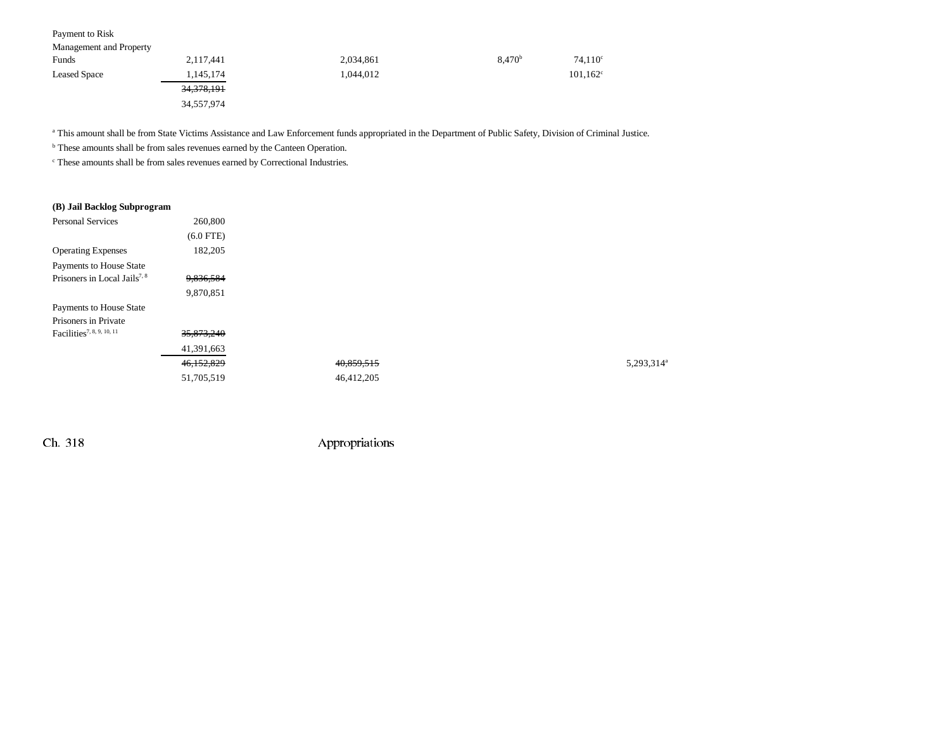| Payment to Risk         |                       |           |                    |                   |
|-------------------------|-----------------------|-----------|--------------------|-------------------|
| Management and Property |                       |           |                    |                   |
| Funds                   | 2,117,441             | 2,034,861 | 8,470 <sup>b</sup> | $74,110^{\circ}$  |
| <b>Leased Space</b>     | 1,145,174             | 1.044.012 |                    | $101,162^{\circ}$ |
|                         | <del>34,378,191</del> |           |                    |                   |
|                         | 34,557,974            |           |                    |                   |

a This amount shall be from State Victims Assistance and Law Enforcement funds appropriated in the Department of Public Safety, Division of Criminal Justice.

b These amounts shall be from sales revenues earned by the Canteen Operation.

c These amounts shall be from sales revenues earned by Correctional Industries.

#### **(B) Jail Backlog Subprogram**

| 260,800     |            |           |
|-------------|------------|-----------|
| $(6.0$ FTE) |            |           |
| 182,205     |            |           |
|             |            |           |
| 9,836,584   |            |           |
| 9,870,851   |            |           |
|             |            |           |
|             |            |           |
| 35,873,240  |            |           |
| 41,391,663  |            |           |
| 46,152,829  | 40,859,515 | 5,293,314 |
| 51,705,519  | 46,412,205 |           |
|             |            |           |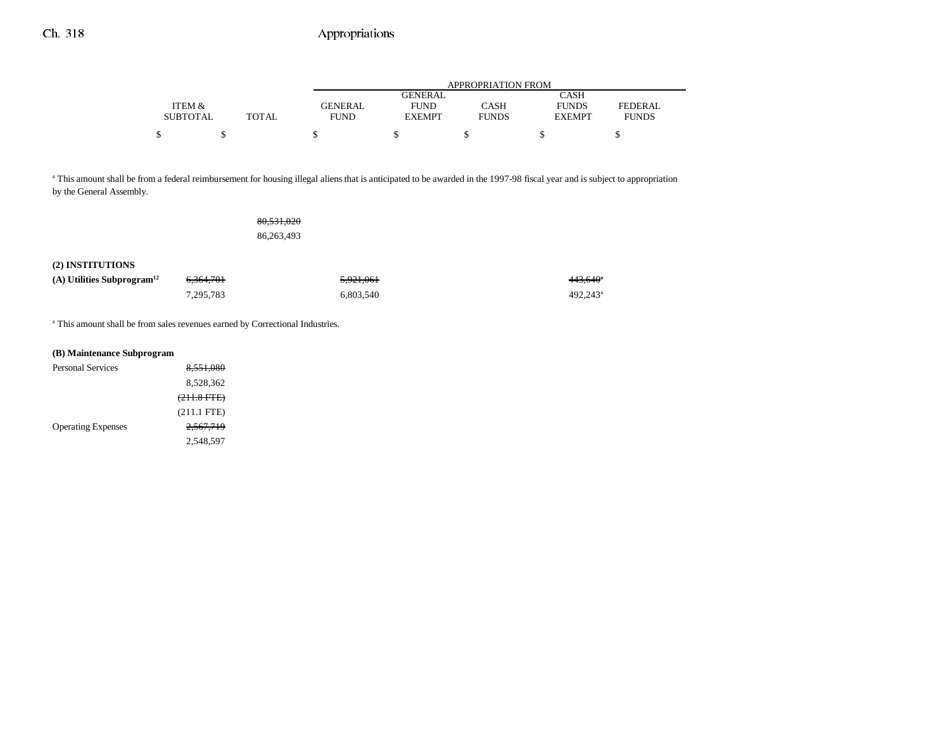|                 |       |                |               | APPROPRIATION FROM |               |                |
|-----------------|-------|----------------|---------------|--------------------|---------------|----------------|
|                 |       |                | GENERAL       |                    | CASH          |                |
| ITEM &          |       | <b>GENERAL</b> | <b>FUND</b>   | CASH               | <b>FUNDS</b>  | <b>FEDERAL</b> |
| <b>SUBTOTAL</b> | TOTAL | <b>FUND</b>    | <b>EXEMPT</b> | <b>FUNDS</b>       | <b>EXEMPT</b> | <b>FUNDS</b>   |
| \$              |       |                |               |                    |               |                |

<sup>a</sup> This amount shall be from a federal reimbursement for housing illegal aliens that is anticipated to be awarded in the 1997-98 fiscal year and is subject to appropriation by the General Assembly.

|                                          |           | 80,531,020 |           |                      |
|------------------------------------------|-----------|------------|-----------|----------------------|
|                                          |           | 86,263,493 |           |                      |
|                                          |           |            |           |                      |
| (2) INSTITUTIONS                         |           |            |           |                      |
| $(A)$ Utilities Subprogram <sup>12</sup> | 6,364,701 |            | 5,921,061 | 443,640              |
|                                          | 7,295,783 |            | 6,803,540 | 492,243 <sup>a</sup> |
|                                          |           |            |           |                      |

a This amount shall be from sales revenues earned by Correctional Industries.

| (B) Maintenance Subprogram |                      |
|----------------------------|----------------------|
| Personal Services          | 8.551.080            |
|                            | 8.528.362            |
|                            | $(211.8$ FTE)        |
|                            | $(211.1$ FTE)        |
| <b>Operating Expenses</b>  | <del>2.567.719</del> |
|                            | 2.548.597            |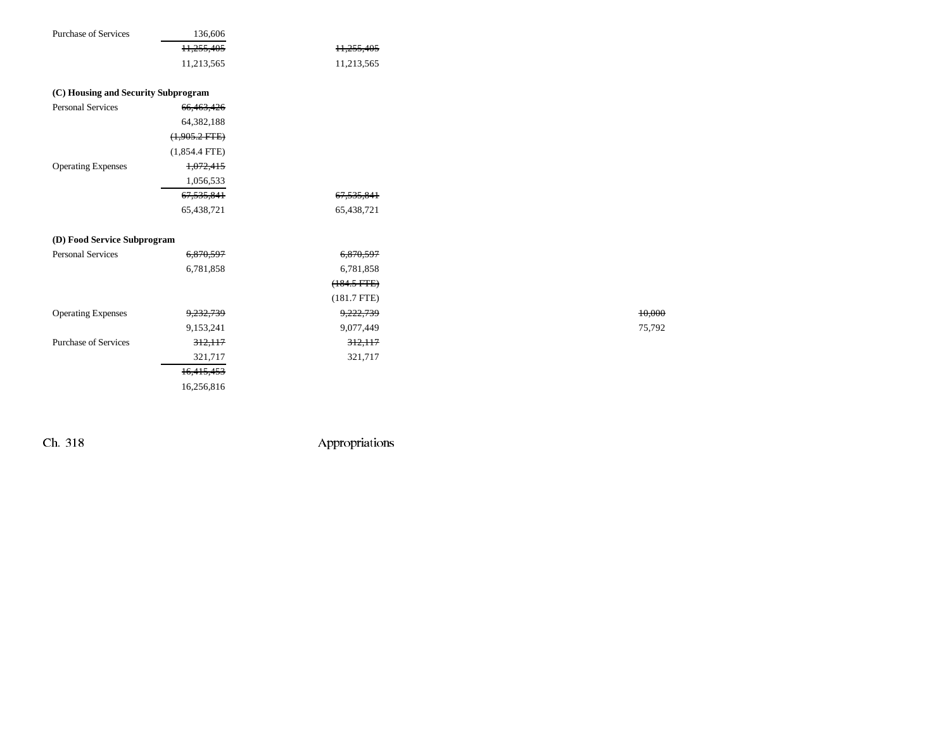| <b>Purchase of Services</b>         | 136,606         |               |        |
|-------------------------------------|-----------------|---------------|--------|
|                                     | 11,255,405      | 11,255,405    |        |
|                                     | 11,213,565      | 11,213,565    |        |
|                                     |                 |               |        |
| (C) Housing and Security Subprogram |                 |               |        |
| <b>Personal Services</b>            | 66,463,426      |               |        |
|                                     | 64,382,188      |               |        |
|                                     | $(1,905.2$ FTE) |               |        |
|                                     | $(1,854.4$ FTE) |               |        |
| <b>Operating Expenses</b>           | 1,072,415       |               |        |
|                                     | 1,056,533       |               |        |
|                                     | 67,535,841      | 67,535,841    |        |
|                                     | 65,438,721      | 65,438,721    |        |
| (D) Food Service Subprogram         |                 |               |        |
| <b>Personal Services</b>            | 6,870,597       | 6,870,597     |        |
|                                     | 6,781,858       | 6,781,858     |        |
|                                     |                 | $(184.5 FTE)$ |        |
|                                     |                 | $(181.7$ FTE) |        |
| <b>Operating Expenses</b>           | 9,232,739       | 9,222,739     | 10,000 |
|                                     | 9,153,241       | 9,077,449     | 75,792 |
| <b>Purchase of Services</b>         | 312,117         | 312,117       |        |
|                                     | 321,717         | 321,717       |        |
|                                     | 16,415,453      |               |        |
|                                     | 16,256,816      |               |        |
|                                     |                 |               |        |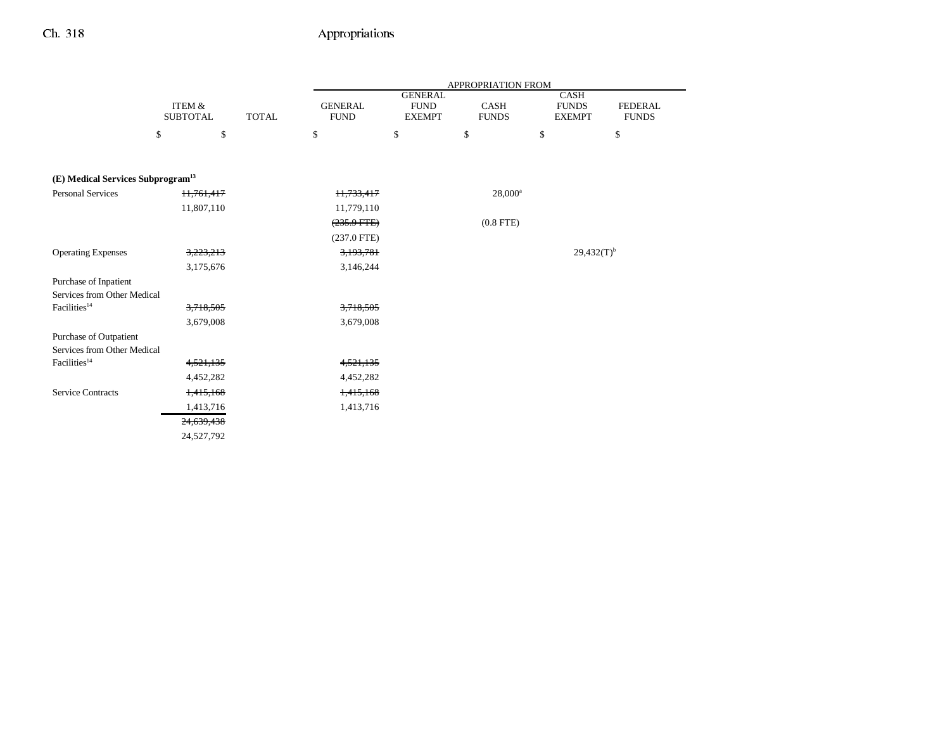|                                                         |                        |              |                |                               | APPROPRIATION FROM |                             |                |
|---------------------------------------------------------|------------------------|--------------|----------------|-------------------------------|--------------------|-----------------------------|----------------|
|                                                         | ITEM &                 |              | <b>GENERAL</b> | <b>GENERAL</b><br><b>FUND</b> | CASH               | <b>CASH</b><br><b>FUNDS</b> | <b>FEDERAL</b> |
|                                                         | <b>SUBTOTAL</b>        | <b>TOTAL</b> | <b>FUND</b>    | <b>EXEMPT</b>                 | <b>FUNDS</b>       | <b>EXEMPT</b>               | <b>FUNDS</b>   |
|                                                         | \$<br>\$               |              | \$             | \$                            | \$                 | \$                          | \$             |
|                                                         |                        |              |                |                               |                    |                             |                |
| (E) Medical Services Subprogram <sup>13</sup>           |                        |              |                |                               |                    |                             |                |
| <b>Personal Services</b>                                | 11,761,417             |              | 11,733,417     |                               | $28,000^a$         |                             |                |
|                                                         | 11,807,110             |              | 11,779,110     |                               |                    |                             |                |
|                                                         |                        |              | $(235.9$ FTE)  |                               | $(0.8$ FTE)        |                             |                |
|                                                         |                        |              | $(237.0$ FTE)  |                               |                    |                             |                |
| <b>Operating Expenses</b>                               | 3,223,213              |              | 3,193,781      |                               |                    | $29,432(T)^{b}$             |                |
|                                                         | 3,175,676              |              | 3,146,244      |                               |                    |                             |                |
| Purchase of Inpatient                                   |                        |              |                |                               |                    |                             |                |
| Services from Other Medical                             |                        |              |                |                               |                    |                             |                |
| Facilities <sup>14</sup>                                | 3,718,505              |              | 3,718,505      |                               |                    |                             |                |
|                                                         | 3,679,008              |              | 3,679,008      |                               |                    |                             |                |
| Purchase of Outpatient                                  |                        |              |                |                               |                    |                             |                |
| Services from Other Medical<br>Facilities <sup>14</sup> | 4,521,135              |              | 4,521,135      |                               |                    |                             |                |
|                                                         | 4,452,282              |              | 4,452,282      |                               |                    |                             |                |
| <b>Service Contracts</b>                                |                        |              | 1,415,168      |                               |                    |                             |                |
|                                                         | 1,415,168<br>1,413,716 |              | 1,413,716      |                               |                    |                             |                |
|                                                         |                        |              |                |                               |                    |                             |                |
|                                                         | 24,639,438             |              |                |                               |                    |                             |                |
|                                                         | 24,527,792             |              |                |                               |                    |                             |                |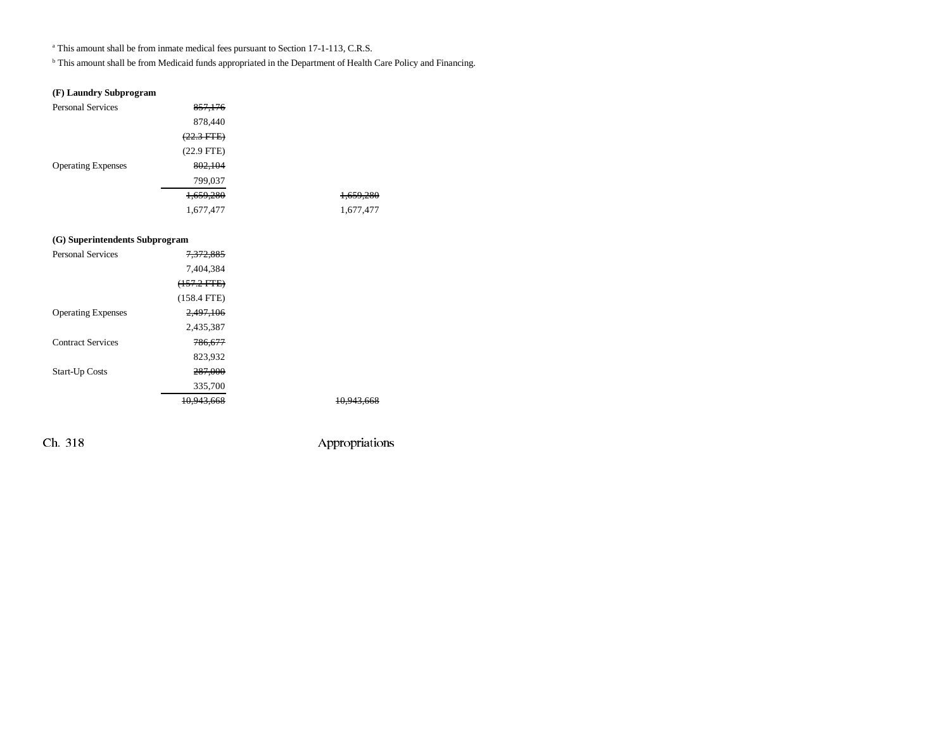<sup>a</sup> This amount shall be from inmate medical fees pursuant to Section 17-1-113, C.R.S.

b This amount shall be from Medicaid funds appropriated in the Department of Health Care Policy and Financing.

### **(F) Laundry Subprogram**

| <b>Personal Services</b>  | 857,176              |           |
|---------------------------|----------------------|-----------|
|                           | 878,440              |           |
|                           | $(22.3 \text{ FFE})$ |           |
|                           | $(22.9$ FTE)         |           |
| <b>Operating Expenses</b> | 802,104              |           |
|                           | 799,037              |           |
|                           | 1,659,280            | 1,659,280 |
|                           | 1,677,477            | 1,677,477 |

### **(G) Superintendents Subprogram**

| <b>Personal Services</b>  | 7,372,885     |                       |
|---------------------------|---------------|-----------------------|
|                           | 7.404.384     |                       |
|                           | $(157.2$ FTE) |                       |
|                           | $(158.4$ FTE) |                       |
| <b>Operating Expenses</b> | 2,497,106     |                       |
|                           | 2,435,387     |                       |
| <b>Contract Services</b>  | 786.677       |                       |
|                           | 823,932       |                       |
| <b>Start-Up Costs</b>     | 287,000       |                       |
|                           | 335,700       |                       |
|                           | 10,943,668    | <del>10.943.668</del> |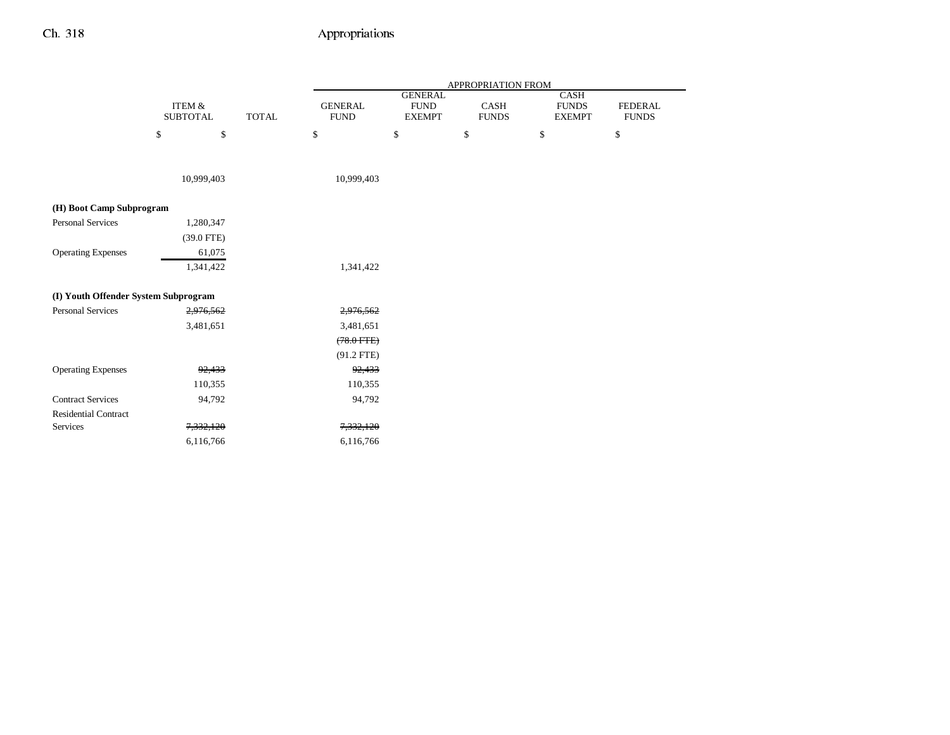|                                      |                           |              | APPROPRIATION FROM            |                                                 |                      |                                       |                                |
|--------------------------------------|---------------------------|--------------|-------------------------------|-------------------------------------------------|----------------------|---------------------------------------|--------------------------------|
|                                      | ITEM &<br><b>SUBTOTAL</b> | <b>TOTAL</b> | <b>GENERAL</b><br><b>FUND</b> | <b>GENERAL</b><br>${\rm FUND}$<br><b>EXEMPT</b> | CASH<br><b>FUNDS</b> | CASH<br><b>FUNDS</b><br><b>EXEMPT</b> | <b>FEDERAL</b><br><b>FUNDS</b> |
|                                      | \$<br>\$                  |              | \$                            | $\$$                                            | $\mathbb{S}$         | \$                                    | $\mathbb{S}$                   |
|                                      | 10,999,403                |              | 10,999,403                    |                                                 |                      |                                       |                                |
| (H) Boot Camp Subprogram             |                           |              |                               |                                                 |                      |                                       |                                |
| <b>Personal Services</b>             | 1,280,347                 |              |                               |                                                 |                      |                                       |                                |
|                                      | $(39.0$ FTE)              |              |                               |                                                 |                      |                                       |                                |
| <b>Operating Expenses</b>            | 61,075                    |              |                               |                                                 |                      |                                       |                                |
|                                      | 1,341,422                 |              | 1,341,422                     |                                                 |                      |                                       |                                |
| (I) Youth Offender System Subprogram |                           |              |                               |                                                 |                      |                                       |                                |
| <b>Personal Services</b>             | 2,976,562                 |              | 2,976,562                     |                                                 |                      |                                       |                                |
|                                      | 3,481,651                 |              | 3,481,651                     |                                                 |                      |                                       |                                |
|                                      |                           |              | $(78.0$ FTE $)$               |                                                 |                      |                                       |                                |
|                                      |                           |              | $(91.2$ FTE)                  |                                                 |                      |                                       |                                |
| <b>Operating Expenses</b>            | 92,433                    |              | 92,433                        |                                                 |                      |                                       |                                |
|                                      | 110,355                   |              | 110,355                       |                                                 |                      |                                       |                                |
| <b>Contract Services</b>             | 94,792                    |              | 94,792                        |                                                 |                      |                                       |                                |
| <b>Residential Contract</b>          |                           |              |                               |                                                 |                      |                                       |                                |
| Services                             | 7,332,120                 |              | 7,332,120                     |                                                 |                      |                                       |                                |
|                                      | 6,116,766                 |              | 6,116,766                     |                                                 |                      |                                       |                                |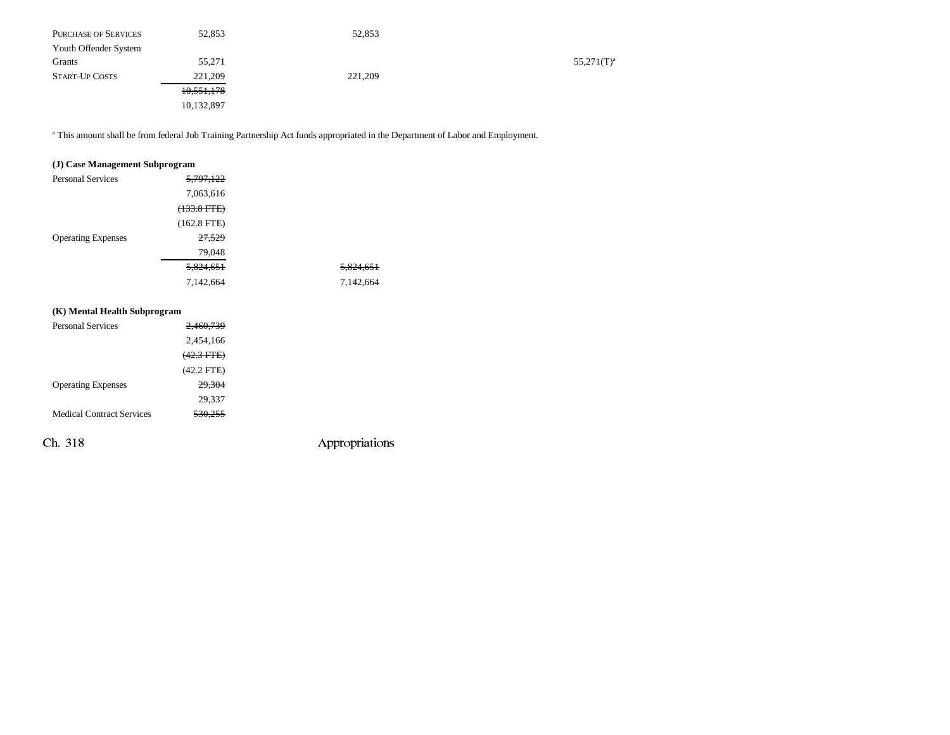| <b>PURCHASE OF SERVICES</b> | 52,853     | 52,853  |               |
|-----------------------------|------------|---------|---------------|
| Youth Offender System       |            |         |               |
| Grants                      | 55,271     |         | $55,271(T)^a$ |
| <b>START-UP COSTS</b>       | 221,209    | 221,209 |               |
|                             | 10,551,178 |         |               |
|                             | 10,132,897 |         |               |

<sup>a</sup> This amount shall be from federal Job Training Partnership Act funds appropriated in the Department of Labor and Employment.

### **(J) Case Management Subprogram**

| <b>Personal Services</b>  | 5,797,122     |           |
|---------------------------|---------------|-----------|
|                           | 7,063,616     |           |
|                           | $(133.8 FTE)$ |           |
|                           | $(162.8$ FTE) |           |
| <b>Operating Expenses</b> | 27,529        |           |
|                           | 79,048        |           |
|                           | 5,824,651     | 5,824,651 |
|                           | 7,142,664     | 7,142,664 |

### **(K) Mental Health Subprogram**

| <b>Personal Services</b>         | <del>2.460.739</del> |  |
|----------------------------------|----------------------|--|
|                                  | 2,454,166            |  |
|                                  | $(42.3$ FTE)         |  |
|                                  | $(42.2$ FTE)         |  |
| <b>Operating Expenses</b>        | 29,304               |  |
|                                  | 29,337               |  |
| <b>Medical Contract Services</b> | 530.255              |  |
|                                  |                      |  |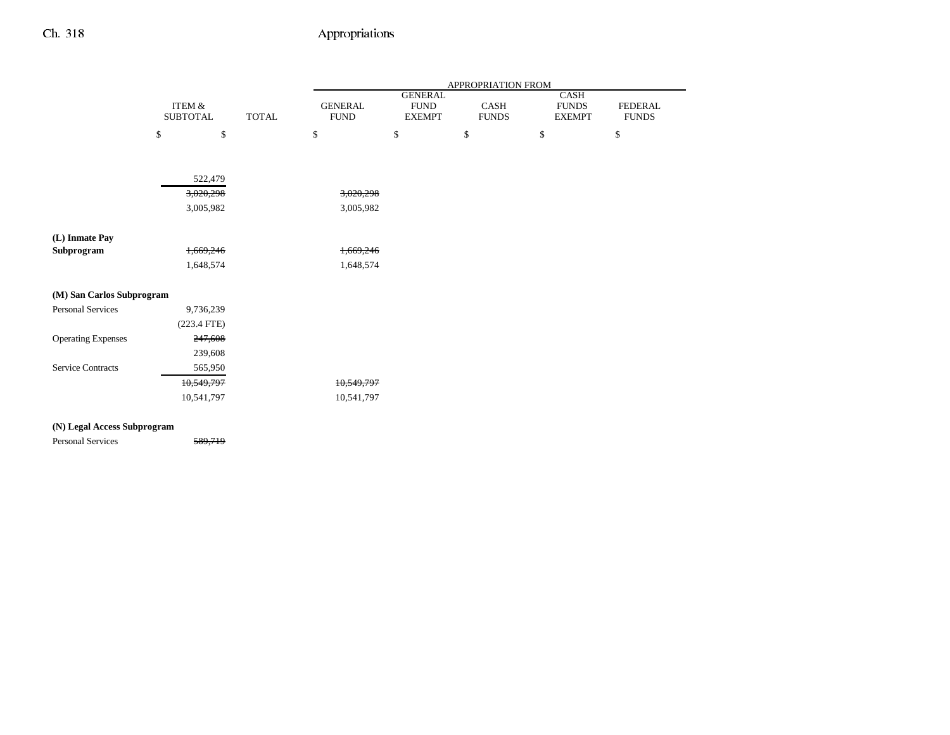|                           |                           |              |                               |                                                | APPROPRIATION FROM   |                                       |                                |
|---------------------------|---------------------------|--------------|-------------------------------|------------------------------------------------|----------------------|---------------------------------------|--------------------------------|
|                           | ITEM &<br><b>SUBTOTAL</b> | <b>TOTAL</b> | <b>GENERAL</b><br><b>FUND</b> | <b>GENERAL</b><br><b>FUND</b><br><b>EXEMPT</b> | CASH<br><b>FUNDS</b> | CASH<br><b>FUNDS</b><br><b>EXEMPT</b> | <b>FEDERAL</b><br><b>FUNDS</b> |
|                           | \$<br>\$                  |              | \$                            | \$                                             | \$                   | \$                                    | \$                             |
|                           |                           |              |                               |                                                |                      |                                       |                                |
|                           | 522,479                   |              |                               |                                                |                      |                                       |                                |
|                           | 3,020,298                 |              | 3,020,298                     |                                                |                      |                                       |                                |
|                           | 3,005,982                 |              | 3,005,982                     |                                                |                      |                                       |                                |
| (L) Inmate Pay            |                           |              |                               |                                                |                      |                                       |                                |
| Subprogram                | 1,669,246                 |              | 1,669,246                     |                                                |                      |                                       |                                |
|                           | 1,648,574                 |              | 1,648,574                     |                                                |                      |                                       |                                |
| (M) San Carlos Subprogram |                           |              |                               |                                                |                      |                                       |                                |
| Personal Services         | 9,736,239                 |              |                               |                                                |                      |                                       |                                |
|                           | $(223.4$ FTE)             |              |                               |                                                |                      |                                       |                                |
| <b>Operating Expenses</b> | 247,608                   |              |                               |                                                |                      |                                       |                                |
|                           | 239,608                   |              |                               |                                                |                      |                                       |                                |
| <b>Service Contracts</b>  | 565,950                   |              |                               |                                                |                      |                                       |                                |
|                           | 10,549,797                |              | 10,549,797                    |                                                |                      |                                       |                                |
|                           | 10,541,797                |              | 10,541,797                    |                                                |                      |                                       |                                |

### **(N) Legal Access Subprogram**

Personal Services 589,719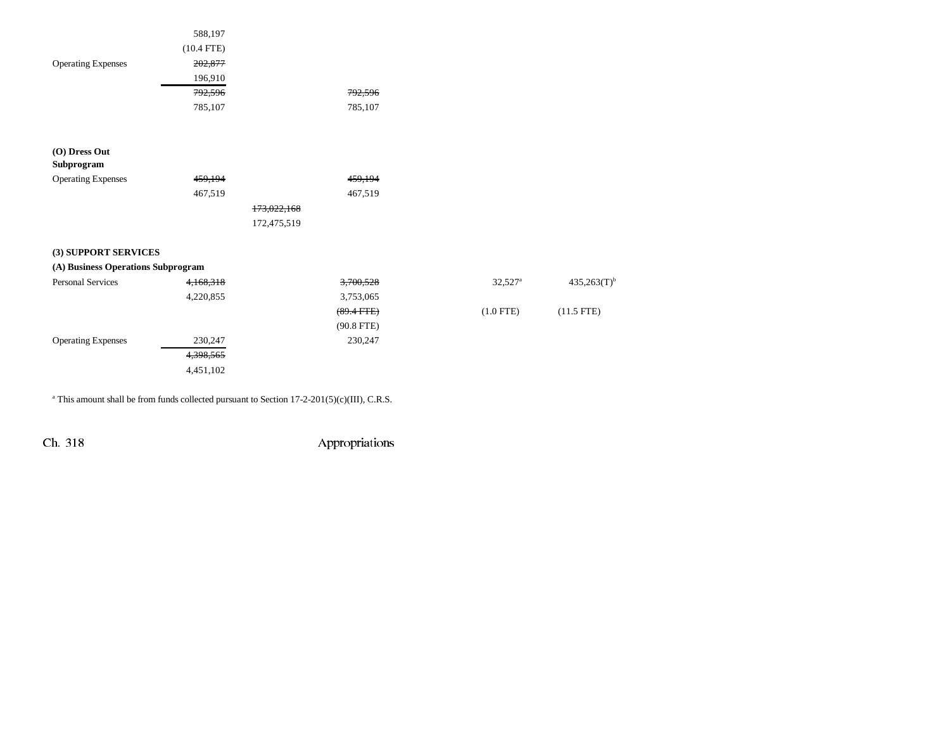|                                    | 588,197      |              |                       |                           |
|------------------------------------|--------------|--------------|-----------------------|---------------------------|
|                                    | $(10.4$ FTE) |              |                       |                           |
| <b>Operating Expenses</b>          | 202,877      |              |                       |                           |
|                                    | 196,910      |              |                       |                           |
|                                    | 792,596      | 792,596      |                       |                           |
|                                    | 785,107      | 785,107      |                       |                           |
| (O) Dress Out                      |              |              |                       |                           |
| Subprogram                         |              |              |                       |                           |
| <b>Operating Expenses</b>          | 459,194      | 459,194      |                       |                           |
|                                    | 467,519      | 467,519      |                       |                           |
|                                    |              | 173,022,168  |                       |                           |
|                                    |              | 172,475,519  |                       |                           |
| (3) SUPPORT SERVICES               |              |              |                       |                           |
| (A) Business Operations Subprogram |              |              |                       |                           |
| <b>Personal Services</b>           | 4,168,318    | 3,700,528    | $32,527$ <sup>a</sup> | $435,263(T)$ <sup>t</sup> |
|                                    | 4,220,855    | 3,753,065    |                       |                           |
|                                    |              | $(89.4$ FTE) | $(1.0$ FTE)           | $(11.5$ FTE)              |
|                                    |              | $(90.8$ FTE) |                       |                           |
| <b>Operating Expenses</b>          | 230,247      | 230,247      |                       |                           |
|                                    | 4,398,565    |              |                       |                           |
|                                    | 4,451,102    |              |                       |                           |
|                                    |              |              |                       |                           |

<sup>a</sup> This amount shall be from funds collected pursuant to Section 17-2-201(5)(c)(III), C.R.S.

Ch. 318 Appropriations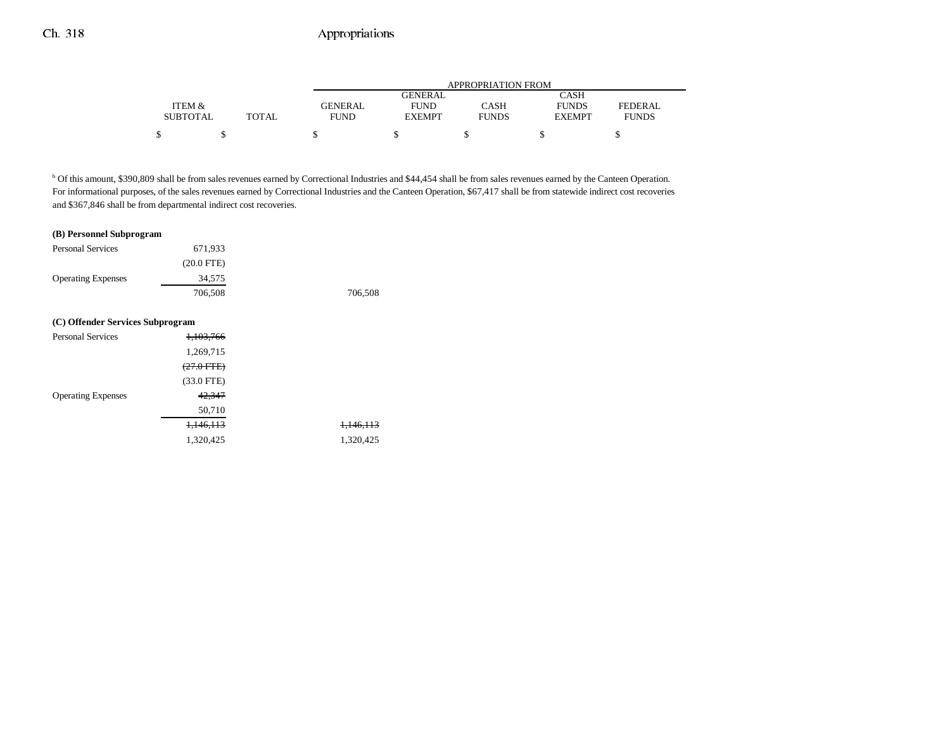|                 |       | APPROPRIATION FROM |               |              |               |              |  |
|-----------------|-------|--------------------|---------------|--------------|---------------|--------------|--|
|                 |       |                    | GENERAL       |              | CASH          |              |  |
| ITEM &          |       | <b>GENERAL</b>     | <b>FUND</b>   | CASH         | <b>FUNDS</b>  | FEDERAL      |  |
| <b>SUBTOTAL</b> | TOTAL | <b>FUND</b>        | <b>EXEMPT</b> | <b>FUNDS</b> | <b>EXEMPT</b> | <b>FUNDS</b> |  |
|                 |       |                    |               |              |               |              |  |

b Of this amount, \$390,809 shall be from sales revenues earned by Correctional Industries and \$44,454 shall be from sales revenues earned by the Canteen Operation. For informational purposes, of the sales revenues earned by Correctional Industries and the Canteen Operation, \$67,417 shall be from statewide indirect cost recoveries and \$367,846 shall be from departmental indirect cost recoveries.

#### **(B) Personnel Subprogram**

| <b>Personal Services</b>         | 671,933              |                      |
|----------------------------------|----------------------|----------------------|
|                                  | $(20.0$ FTE)         |                      |
| <b>Operating Expenses</b>        | 34,575               |                      |
|                                  | 706,508              | 706,508              |
|                                  |                      |                      |
| (C) Offender Services Subprogram |                      |                      |
| <b>Personal Services</b>         | <del>1,103,766</del> |                      |
|                                  | 1,269,715            |                      |
|                                  | $(27.0$ FTE)         |                      |
|                                  | $(33.0$ FTE)         |                      |
| <b>Operating Expenses</b>        | 42,347               |                      |
|                                  | 50,710               |                      |
|                                  | 1,146,113            | <del>1,146,113</del> |
|                                  | 1,320,425            | 1,320,425            |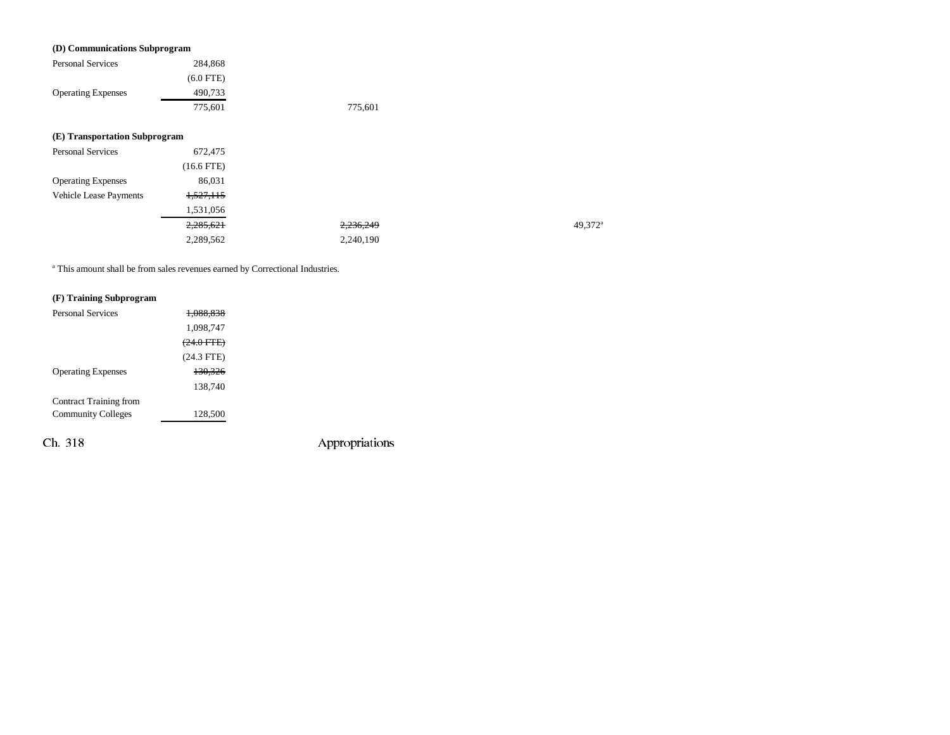#### **(D) Communications Subprogram**

|                               | $\overline{\phantom{a}}$ |         |
|-------------------------------|--------------------------|---------|
| <b>Personal Services</b>      | 284,868                  |         |
|                               | $(6.0$ FTE)              |         |
| <b>Operating Expenses</b>     | 490,733                  |         |
|                               | 775,601                  | 775,601 |
|                               |                          |         |
| (E) Transportation Subprogram |                          |         |
| <b>Personal Services</b>      | 672,475                  |         |
|                               | $(16.6$ FTE)             |         |
| <b>Operating Expenses</b>     | 86,031                   |         |
| Vehicle Lease Payments        | <del>1.527.115</del>     |         |
|                               |                          |         |

| 1,531,056 |           |                     |
|-----------|-----------|---------------------|
| 2,285,621 | 2,236,249 | 49,372 <sup>a</sup> |
| 2,289,562 | 2,240,190 |                     |

a This amount shall be from sales revenues earned by Correctional Industries.

### **(F) Training Subprogram**

| <b>Personal Services</b>  | 088.838               |  |
|---------------------------|-----------------------|--|
|                           | 1,098,747             |  |
|                           | <del>(24.0 FTE)</del> |  |
|                           | $(24.3$ FTE)          |  |
| <b>Operating Expenses</b> | 130.326               |  |
|                           | 138.740               |  |
| Contract Training from    |                       |  |
| <b>Community Colleges</b> | 128,500               |  |
|                           |                       |  |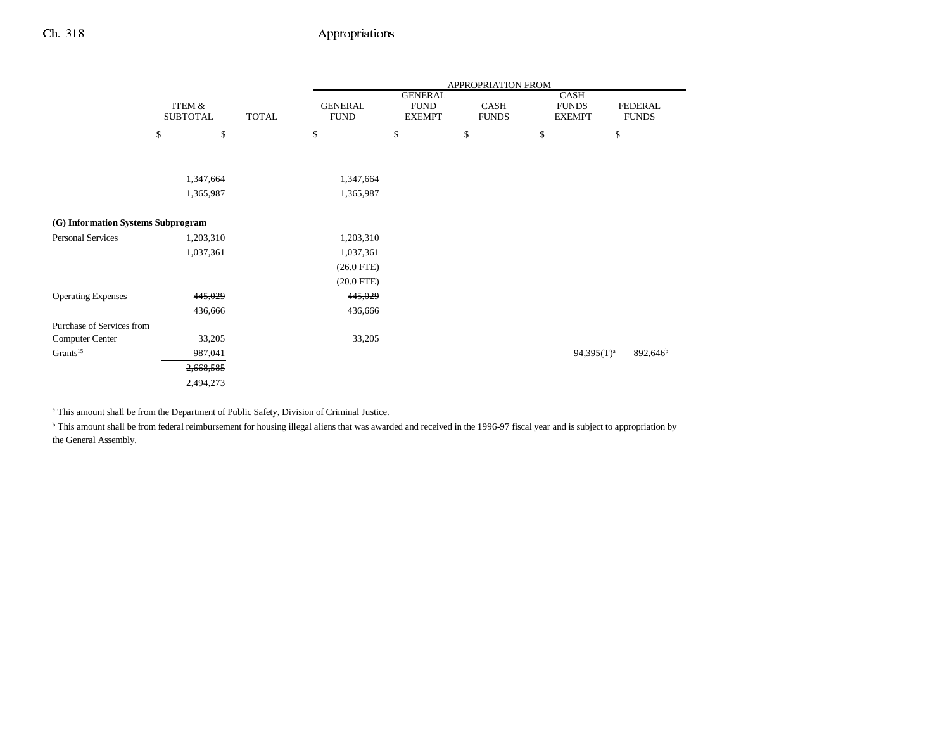|                                    |                                      |              | APPROPRIATION FROM            |                                                |                      |                                              |                                |  |
|------------------------------------|--------------------------------------|--------------|-------------------------------|------------------------------------------------|----------------------|----------------------------------------------|--------------------------------|--|
|                                    | <b>ITEM &amp;</b><br><b>SUBTOTAL</b> | <b>TOTAL</b> | <b>GENERAL</b><br><b>FUND</b> | <b>GENERAL</b><br><b>FUND</b><br><b>EXEMPT</b> | CASH<br><b>FUNDS</b> | <b>CASH</b><br><b>FUNDS</b><br><b>EXEMPT</b> | <b>FEDERAL</b><br><b>FUNDS</b> |  |
|                                    | \$<br>\$                             |              | \$                            | \$                                             | \$                   | \$                                           | \$                             |  |
|                                    |                                      |              |                               |                                                |                      |                                              |                                |  |
|                                    | 1,347,664                            |              | 1,347,664                     |                                                |                      |                                              |                                |  |
|                                    | 1,365,987                            |              | 1,365,987                     |                                                |                      |                                              |                                |  |
| (G) Information Systems Subprogram |                                      |              |                               |                                                |                      |                                              |                                |  |
| <b>Personal Services</b>           | 1,203,310                            |              | 1,203,310                     |                                                |                      |                                              |                                |  |
|                                    | 1,037,361                            |              | 1,037,361                     |                                                |                      |                                              |                                |  |
|                                    |                                      |              | $(26.0$ FTE)                  |                                                |                      |                                              |                                |  |
|                                    |                                      |              | $(20.0$ FTE)                  |                                                |                      |                                              |                                |  |
| <b>Operating Expenses</b>          | 445,029                              |              | 445,029                       |                                                |                      |                                              |                                |  |
|                                    | 436,666                              |              | 436,666                       |                                                |                      |                                              |                                |  |
| Purchase of Services from          |                                      |              |                               |                                                |                      |                                              |                                |  |
| Computer Center                    | 33,205                               |              | 33,205                        |                                                |                      |                                              |                                |  |
| Grants <sup>15</sup>               | 987,041                              |              |                               |                                                |                      | $94,395(T)^a$                                | 892,646 <sup>b</sup>           |  |
|                                    | 2,668,585                            |              |                               |                                                |                      |                                              |                                |  |
|                                    | 2,494,273                            |              |                               |                                                |                      |                                              |                                |  |

<sup>a</sup> This amount shall be from the Department of Public Safety, Division of Criminal Justice.

<sup>b</sup> This amount shall be from federal reimbursement for housing illegal aliens that was awarded and received in the 1996-97 fiscal year and is subject to appropriation by the General Assembly.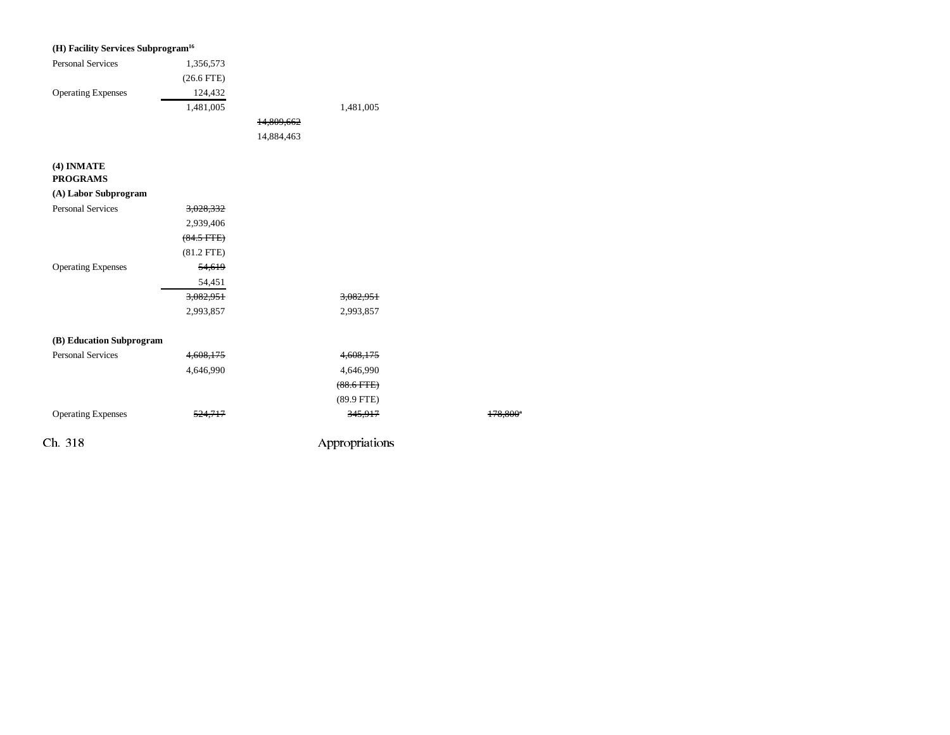| (H) Facility Services Subprogram <sup>16</sup> |                 |            |                 |         |
|------------------------------------------------|-----------------|------------|-----------------|---------|
| <b>Personal Services</b>                       | 1,356,573       |            |                 |         |
|                                                | $(26.6$ FTE)    |            |                 |         |
| <b>Operating Expenses</b>                      | 124,432         |            |                 |         |
|                                                | 1,481,005       |            | 1,481,005       |         |
|                                                |                 | 14,809,662 |                 |         |
|                                                |                 | 14,884,463 |                 |         |
| (4) INMATE                                     |                 |            |                 |         |
| <b>PROGRAMS</b>                                |                 |            |                 |         |
| (A) Labor Subprogram                           |                 |            |                 |         |
| <b>Personal Services</b>                       | 3,028,332       |            |                 |         |
|                                                | 2,939,406       |            |                 |         |
|                                                | $(84.5$ FTE $)$ |            |                 |         |
|                                                | $(81.2$ FTE)    |            |                 |         |
| <b>Operating Expenses</b>                      | 54,619          |            |                 |         |
|                                                | 54,451          |            |                 |         |
|                                                | 3,082,951       |            | 3,082,951       |         |
|                                                | 2,993,857       |            | 2,993,857       |         |
| (B) Education Subprogram                       |                 |            |                 |         |
| <b>Personal Services</b>                       | 4,608,175       |            | 4,608,175       |         |
|                                                | 4,646,990       |            | 4,646,990       |         |
|                                                |                 |            | $(88.6$ FTE $)$ |         |
|                                                |                 |            | $(89.9$ FTE)    |         |
| <b>Operating Expenses</b>                      | 524,717         |            | 345,917         | 178,800 |
| Ch. 318                                        |                 |            | Appropriations  |         |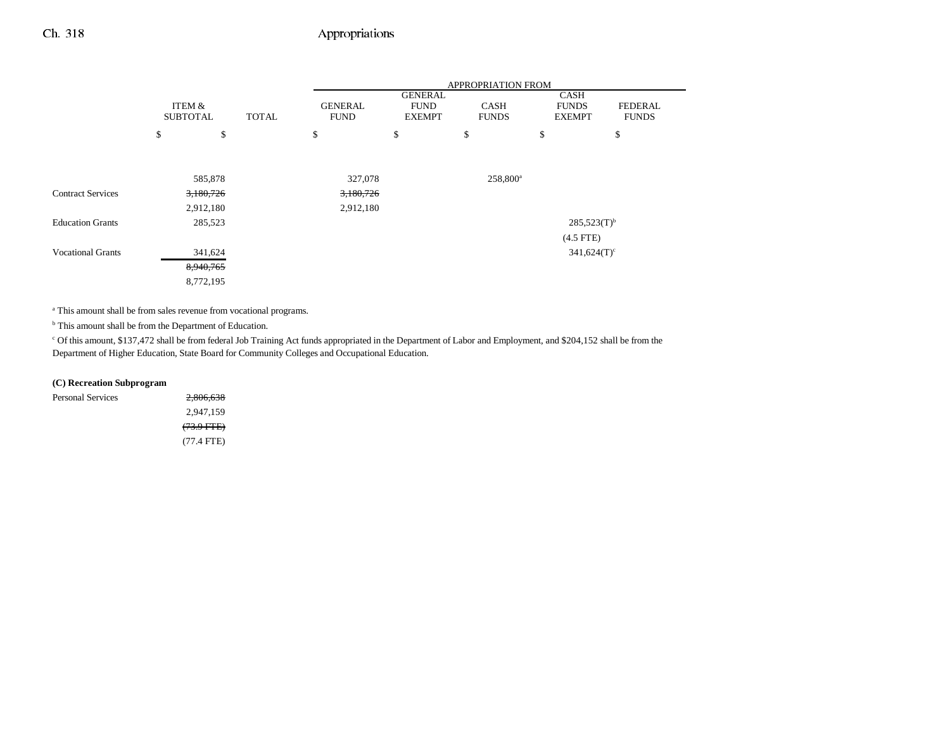|                          |                           |              | APPROPRIATION FROM            |                                                |                             |                                       |                         |  |
|--------------------------|---------------------------|--------------|-------------------------------|------------------------------------------------|-----------------------------|---------------------------------------|-------------------------|--|
|                          | ITEM &<br><b>SUBTOTAL</b> | <b>TOTAL</b> | <b>GENERAL</b><br><b>FUND</b> | <b>GENERAL</b><br><b>FUND</b><br><b>EXEMPT</b> | <b>CASH</b><br><b>FUNDS</b> | CASH<br><b>FUNDS</b><br><b>EXEMPT</b> | FEDERAL<br><b>FUNDS</b> |  |
|                          | \$                        | \$           | \$                            | \$                                             | \$                          | \$                                    | \$                      |  |
|                          |                           |              |                               |                                                |                             |                                       |                         |  |
|                          | 585,878                   |              | 327,078                       |                                                | $258,800^a$                 |                                       |                         |  |
| <b>Contract Services</b> | 3,180,726                 |              | 3,180,726                     |                                                |                             |                                       |                         |  |
|                          | 2,912,180                 |              | 2,912,180                     |                                                |                             |                                       |                         |  |
| <b>Education Grants</b>  | 285,523                   |              |                               |                                                |                             | $285,523(T)$ <sup>b</sup>             |                         |  |
|                          |                           |              |                               |                                                |                             | $(4.5$ FTE)                           |                         |  |
| <b>Vocational Grants</b> | 341,624                   |              |                               |                                                |                             | $341,624(T)$ <sup>c</sup>             |                         |  |
|                          | 8,940,765                 |              |                               |                                                |                             |                                       |                         |  |
|                          | 8,772,195                 |              |                               |                                                |                             |                                       |                         |  |

a This amount shall be from sales revenue from vocational programs.

<sup>b</sup> This amount shall be from the Department of Education.

c Of this amount, \$137,472 shall be from federal Job Training Act funds appropriated in the Department of Labor and Employment, and \$204,152 shall be from the Department of Higher Education, State Board for Community Colleges and Occupational Education.

#### **(C) Recreation Subprogram**

| Personal Services | 2,806,638             |
|-------------------|-----------------------|
|                   | 2,947,159             |
|                   | <del>(73.9 FTE)</del> |
|                   | $(77.4$ FTE)          |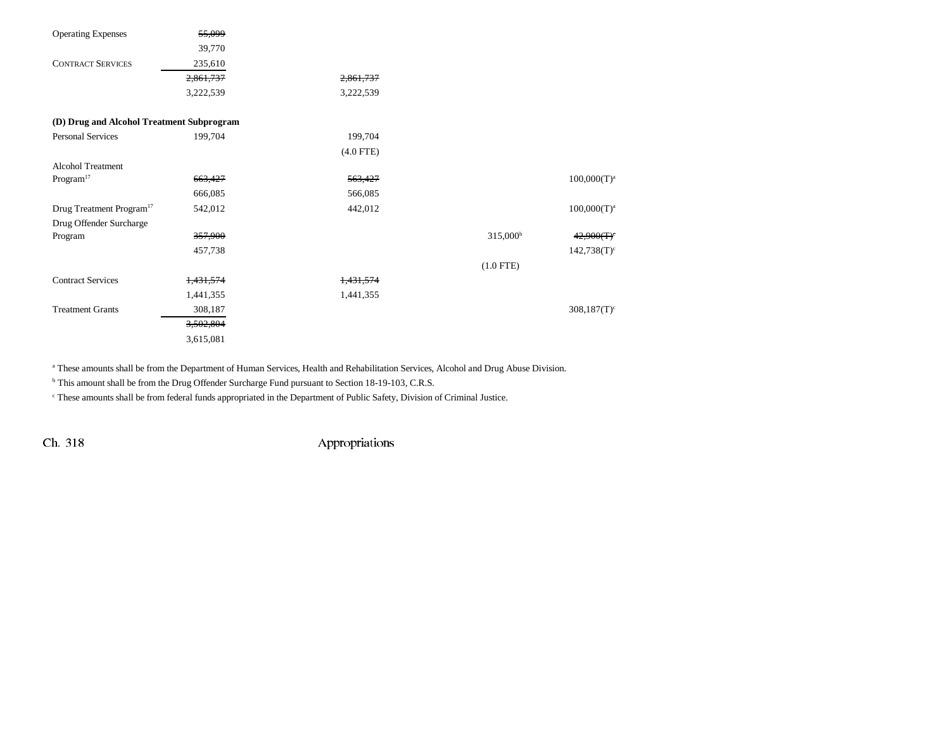| <b>Operating Expenses</b>                 | 55,099    |             |                   |                |
|-------------------------------------------|-----------|-------------|-------------------|----------------|
|                                           | 39,770    |             |                   |                |
| <b>CONTRACT SERVICES</b>                  | 235,610   |             |                   |                |
|                                           | 2,861,737 | 2,861,737   |                   |                |
|                                           | 3,222,539 | 3,222,539   |                   |                |
| (D) Drug and Alcohol Treatment Subprogram |           |             |                   |                |
| Personal Services                         | 199,704   | 199,704     |                   |                |
|                                           |           | $(4.0$ FTE) |                   |                |
| <b>Alcohol Treatment</b>                  |           |             |                   |                |
| $\rm{Program}^{17}$                       | 663,427   | 563,427     |                   | $100,000(T)^a$ |
|                                           | 666,085   | 566,085     |                   |                |
| Drug Treatment Program <sup>17</sup>      | 542,012   | 442,012     |                   | $100,000(T)^a$ |
| Drug Offender Surcharge                   |           |             |                   |                |
| Program                                   | 357,900   |             | $315,000^{\circ}$ | 42,900(T)      |
|                                           | 457,738   |             |                   | $142,738(T)^c$ |
|                                           |           |             | $(1.0$ FTE)       |                |
| <b>Contract Services</b>                  | 1,431,574 | 1,431,574   |                   |                |
|                                           | 1,441,355 | 1,441,355   |                   |                |
| <b>Treatment Grants</b>                   | 308,187   |             |                   | $308,187(T)^c$ |
|                                           | 3,502,804 |             |                   |                |
|                                           | 3,615,081 |             |                   |                |

a These amounts shall be from the Department of Human Services, Health and Rehabilitation Services, Alcohol and Drug Abuse Division.

<sup>b</sup> This amount shall be from the Drug Offender Surcharge Fund pursuant to Section 18-19-103, C.R.S.

c These amounts shall be from federal funds appropriated in the Department of Public Safety, Division of Criminal Justice.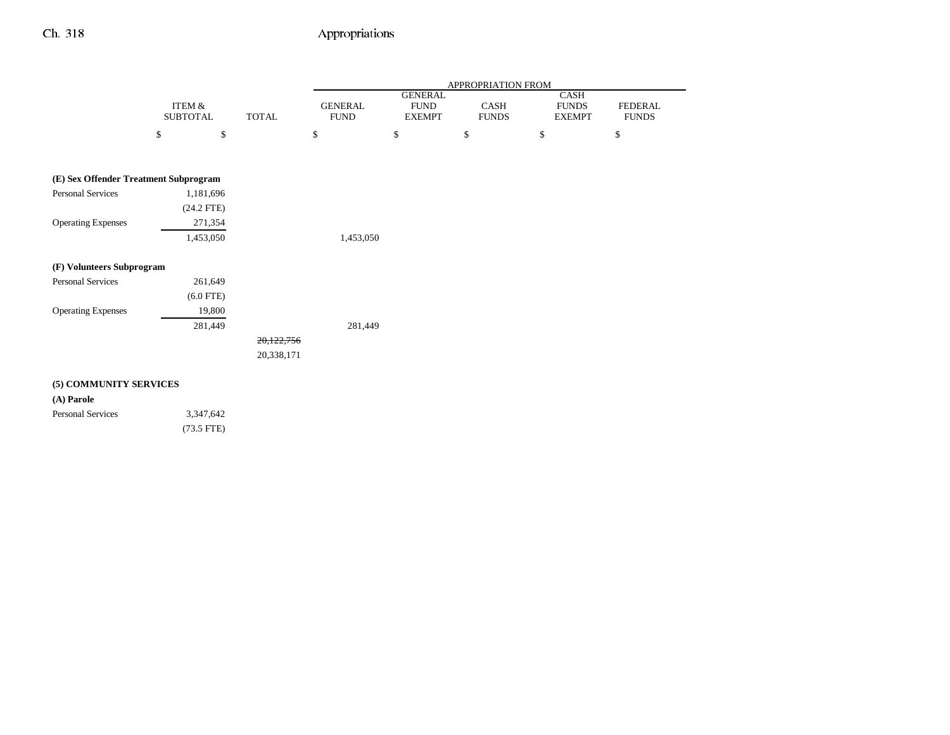|                                       |                           |              |                               |                                                | APPROPRIATION FROM          |                                       |                                |
|---------------------------------------|---------------------------|--------------|-------------------------------|------------------------------------------------|-----------------------------|---------------------------------------|--------------------------------|
|                                       | ITEM &<br><b>SUBTOTAL</b> | <b>TOTAL</b> | <b>GENERAL</b><br><b>FUND</b> | <b>GENERAL</b><br><b>FUND</b><br><b>EXEMPT</b> | <b>CASH</b><br><b>FUNDS</b> | CASH<br><b>FUNDS</b><br><b>EXEMPT</b> | <b>FEDERAL</b><br><b>FUNDS</b> |
|                                       | $\$$<br>$\mathbb{S}$      |              | \$                            | \$                                             | \$                          | \$                                    | \$                             |
| (E) Sex Offender Treatment Subprogram |                           |              |                               |                                                |                             |                                       |                                |
| <b>Personal Services</b>              | 1,181,696                 |              |                               |                                                |                             |                                       |                                |
|                                       | $(24.2$ FTE)              |              |                               |                                                |                             |                                       |                                |
| <b>Operating Expenses</b>             | 271,354                   |              |                               |                                                |                             |                                       |                                |
|                                       | 1,453,050                 |              | 1,453,050                     |                                                |                             |                                       |                                |
| (F) Volunteers Subprogram             |                           |              |                               |                                                |                             |                                       |                                |
| <b>Personal Services</b>              | 261,649                   |              |                               |                                                |                             |                                       |                                |
|                                       | $(6.0$ FTE)               |              |                               |                                                |                             |                                       |                                |
| <b>Operating Expenses</b>             | 19,800                    |              |                               |                                                |                             |                                       |                                |
|                                       | 281,449                   |              | 281,449                       |                                                |                             |                                       |                                |
|                                       |                           | 20,122,756   |                               |                                                |                             |                                       |                                |
|                                       |                           | 20,338,171   |                               |                                                |                             |                                       |                                |
| (5) COMMUNITY SERVICES                |                           |              |                               |                                                |                             |                                       |                                |
| (A) Parole                            |                           |              |                               |                                                |                             |                                       |                                |
| <b>Personal Services</b>              | 3,347,642                 |              |                               |                                                |                             |                                       |                                |
|                                       | $(73.5$ FTE)              |              |                               |                                                |                             |                                       |                                |
|                                       |                           |              |                               |                                                |                             |                                       |                                |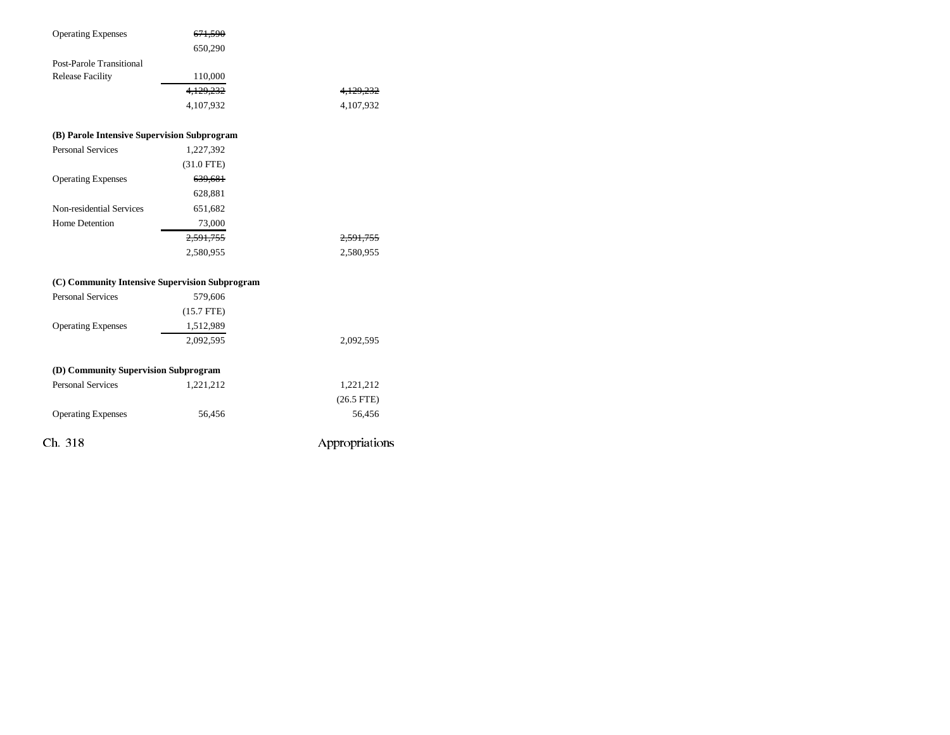| <b>Operating Expenses</b>                      | <del>671,590</del> |                |
|------------------------------------------------|--------------------|----------------|
|                                                | 650,290            |                |
| Post-Parole Transitional                       |                    |                |
| <b>Release Facility</b>                        | 110,000            |                |
|                                                | 4,129,232          | 4,129,232      |
|                                                | 4,107,932          | 4,107,932      |
| (B) Parole Intensive Supervision Subprogram    |                    |                |
| <b>Personal Services</b>                       | 1,227,392          |                |
|                                                | $(31.0$ FTE)       |                |
| <b>Operating Expenses</b>                      | 639,681            |                |
|                                                | 628,881            |                |
| Non-residential Services                       | 651,682            |                |
| Home Detention                                 | 73,000             |                |
|                                                | 2,591,755          | 2,591,755      |
|                                                | 2,580,955          | 2,580,955      |
| (C) Community Intensive Supervision Subprogram |                    |                |
| <b>Personal Services</b>                       | 579,606            |                |
|                                                | $(15.7$ FTE)       |                |
| <b>Operating Expenses</b>                      | 1,512,989          |                |
|                                                | 2,092,595          | 2,092,595      |
| (D) Community Supervision Subprogram           |                    |                |
| <b>Personal Services</b>                       | 1,221,212          | 1,221,212      |
|                                                |                    | $(26.5$ FTE)   |
| <b>Operating Expenses</b>                      | 56,456             | 56,456         |
| Ch. 318                                        |                    | Appropriations |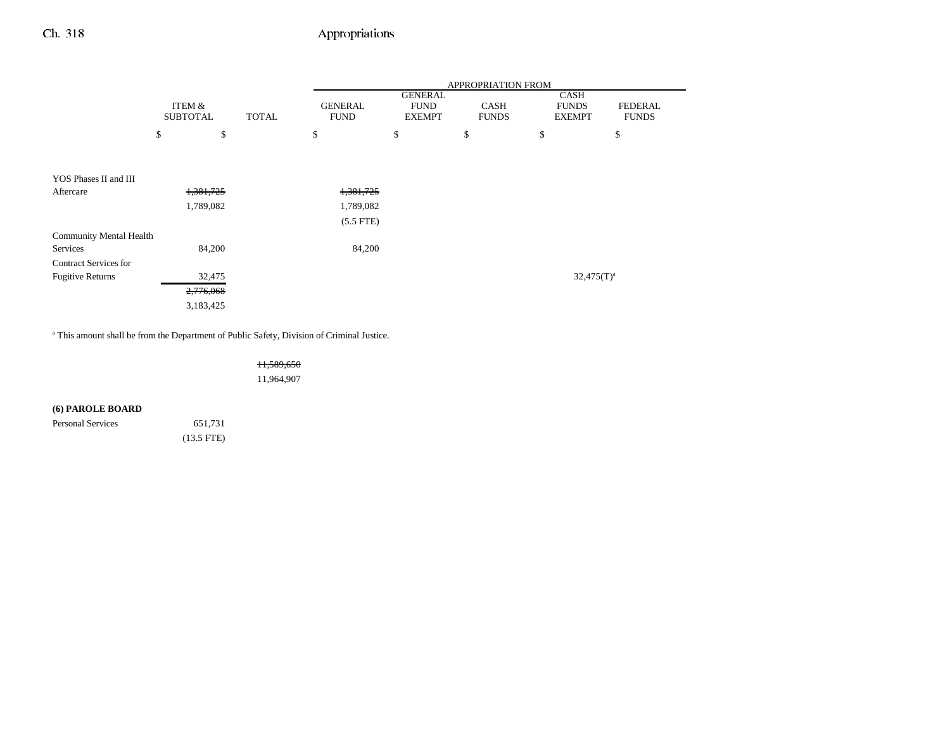|                              |                 |    |              | APPROPRIATION FROM |               |              |                 |                |
|------------------------------|-----------------|----|--------------|--------------------|---------------|--------------|-----------------|----------------|
|                              | ITEM &          |    |              | <b>GENERAL</b>     |               |              | <b>CASH</b>     |                |
|                              |                 |    |              | <b>GENERAL</b>     | <b>FUND</b>   | <b>CASH</b>  | <b>FUNDS</b>    | <b>FEDERAL</b> |
|                              | <b>SUBTOTAL</b> |    | <b>TOTAL</b> | <b>FUND</b>        | <b>EXEMPT</b> | <b>FUNDS</b> | <b>EXEMPT</b>   | <b>FUNDS</b>   |
|                              | \$              | \$ |              | \$                 | \$            | \$           | \$              | \$             |
|                              |                 |    |              |                    |               |              |                 |                |
| YOS Phases II and III        |                 |    |              |                    |               |              |                 |                |
| Aftercare                    | 1,381,725       |    |              | 1,381,725          |               |              |                 |                |
|                              | 1,789,082       |    |              | 1,789,082          |               |              |                 |                |
|                              |                 |    |              | $(5.5$ FTE)        |               |              |                 |                |
| Community Mental Health      |                 |    |              |                    |               |              |                 |                |
| Services                     | 84,200          |    |              | 84,200             |               |              |                 |                |
| <b>Contract Services for</b> |                 |    |              |                    |               |              |                 |                |
| <b>Fugitive Returns</b>      | 32,475          |    |              |                    |               |              | $32,475(T)^{a}$ |                |
|                              | 2,776,068       |    |              |                    |               |              |                 |                |
|                              | 3,183,425       |    |              |                    |               |              |                 |                |

<sup>a</sup> This amount shall be from the Department of Public Safety, Division of Criminal Justice.

11,589,650 11,964,907

### **(6) PAROLE BOARD**

Personal Services 651,731 (13.5 FTE)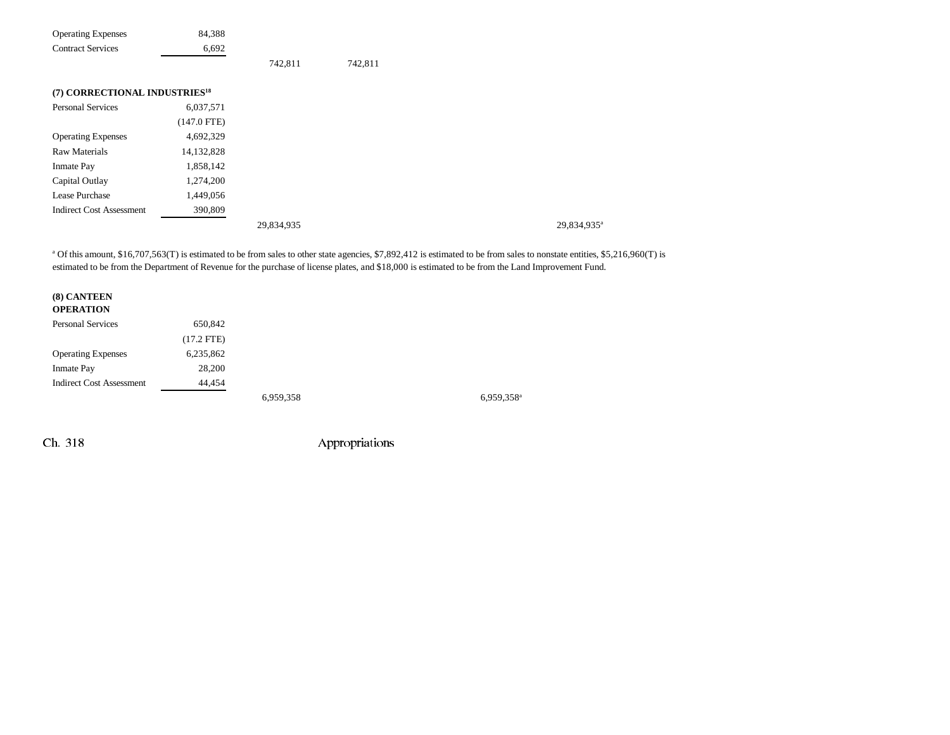| <b>Operating Expenses</b>                 | 84,388        |            |         |                         |
|-------------------------------------------|---------------|------------|---------|-------------------------|
| <b>Contract Services</b>                  | 6,692         |            |         |                         |
|                                           |               | 742,811    | 742,811 |                         |
| (7) CORRECTIONAL INDUSTRIES <sup>18</sup> |               |            |         |                         |
| Personal Services                         | 6,037,571     |            |         |                         |
|                                           | $(147.0$ FTE) |            |         |                         |
| <b>Operating Expenses</b>                 | 4,692,329     |            |         |                         |
| <b>Raw Materials</b>                      | 14,132,828    |            |         |                         |
| Inmate Pay                                | 1,858,142     |            |         |                         |
| Capital Outlay                            | 1,274,200     |            |         |                         |
| Lease Purchase                            | 1,449,056     |            |         |                         |
| <b>Indirect Cost Assessment</b>           | 390,809       |            |         |                         |
|                                           |               | 29,834,935 |         | 29,834,935 <sup>a</sup> |

<sup>a</sup> Of this amount, \$16,707,563(T) is estimated to be from sales to other state agencies, \$7,892,412 is estimated to be from sales to nonstate entities, \$5,216,960(T) is estimated to be from the Department of Revenue for the purchase of license plates, and \$18,000 is estimated to be from the Land Improvement Fund.

### **(8) CANTEEN OPERATION** Personal Services 650,842 (17.2 FTE) Operating Expenses 6,235,862 Inmate Pay 28,200 Indirect Cost Assessment 44,454 6,959,358 6,959,358a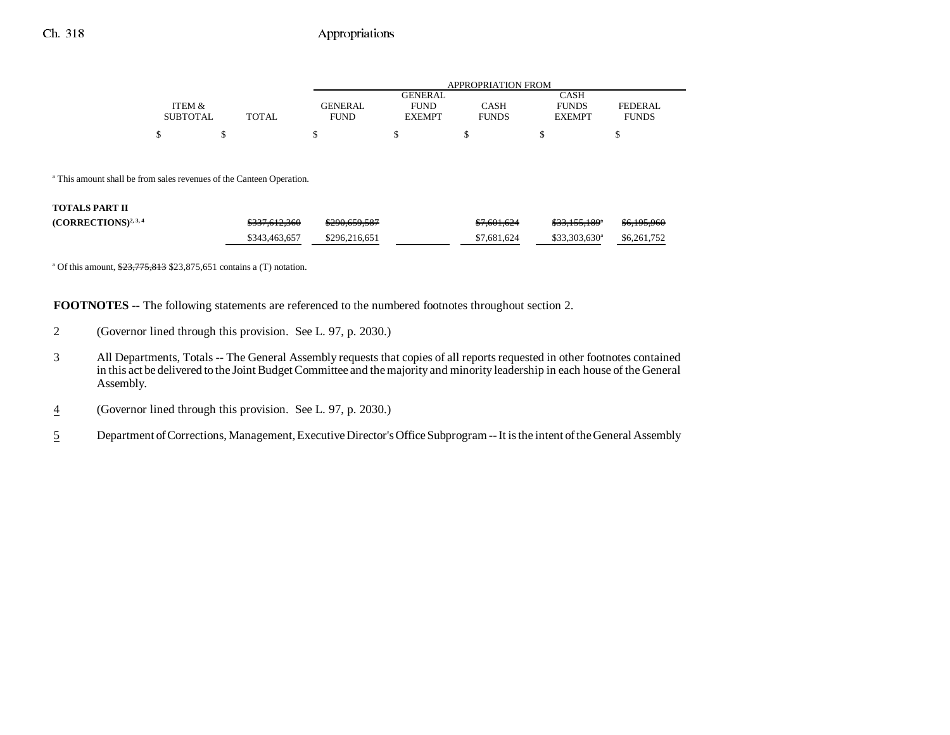|                 |       | APPROPRIATION FROM |                |              |               |                |  |
|-----------------|-------|--------------------|----------------|--------------|---------------|----------------|--|
|                 |       |                    | <b>GENERAL</b> |              | CASH          |                |  |
| ITEM &          |       | GENERAL            | <b>FUND</b>    | CASH         | <b>FUNDS</b>  | <b>FEDERAL</b> |  |
| <b>SUBTOTAL</b> | TOTAL | <b>FUND</b>        | <b>EXEMPT</b>  | <b>FUNDS</b> | <b>EXEMPT</b> | <b>FUNDS</b>   |  |
| \$              |       |                    |                |              |               |                |  |

a This amount shall be from sales revenues of the Canteen Operation.

#### **TOTALS PART II**

| $(CORRECTIONS)^{2,3,4}$ | 022761226<br>3337.012.300 | <del>\$290,659,587</del> | \$7,601,624 | 0.221551008<br>333.133.187 | $P \subset 10500$<br>30,175,700 |
|-------------------------|---------------------------|--------------------------|-------------|----------------------------|---------------------------------|
|                         | \$343,463,657             | \$296,216,651            | \$7,681,624 | $$33,303,630^a$            | \$6,261,752                     |

<sup>a</sup> Of this amount,  $\frac{$23,775,813}{$23,875,651}$  contains a (T) notation.

**FOOTNOTES** -- The following statements are referenced to the numbered footnotes throughout section 2.

- 2 (Governor lined through this provision. See L. 97, p. 2030.)
- 3 All Departments, Totals -- The General Assembly requests that copies of all reports requested in other footnotes contained in this act be delivered to the Joint Budget Committee and the majority and minority leadership in each house of the General Assembly.
- 4(Governor lined through this provision. See L. 97, p. 2030.)
- 5Department of Corrections, Management, Executive Director's Office Subprogram -- It is the intent of the General Assembly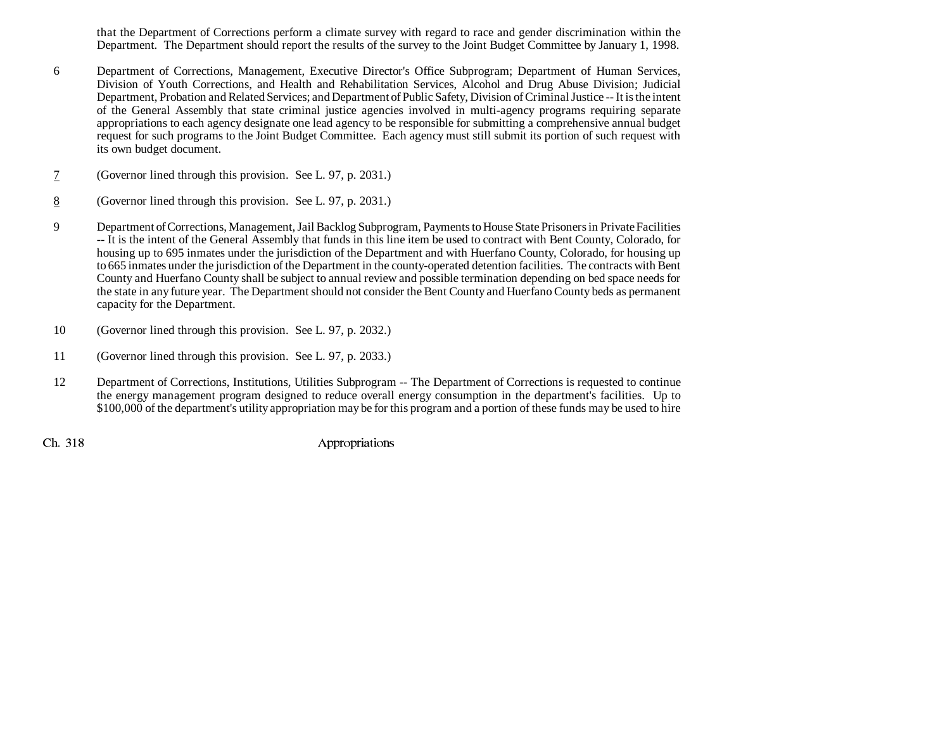that the Department of Corrections perform a climate survey with regard to race and gender discrimination within the Department. The Department should report the results of the survey to the Joint Budget Committee by January 1, 1998.

- 6 Department of Corrections, Management, Executive Director's Office Subprogram; Department of Human Services, Division of Youth Corrections, and Health and Rehabilitation Services, Alcohol and Drug Abuse Division; Judicial Department, Probation and Related Services; and Department of Public Safety, Division of Criminal Justice -- It is the intent of the General Assembly that state criminal justice agencies involved in multi-agency programs requiring separate appropriations to each agency designate one lead agency to be responsible for submitting a comprehensive annual budget request for such programs to the Joint Budget Committee. Each agency must still submit its portion of such request with its own budget document.
- 7(Governor lined through this provision. See L. 97, p. 2031.)
- 8(Governor lined through this provision. See L. 97, p. 2031.)
- 9 Department of Corrections, Management, Jail Backlog Subprogram, Payments to House State Prisoners in Private Facilities -- It is the intent of the General Assembly that funds in this line item be used to contract with Bent County, Colorado, for housing up to 695 inmates under the jurisdiction of the Department and with Huerfano County, Colorado, for housing up to 665 inmates under the jurisdiction of the Department in the county-operated detention facilities. The contracts with Bent County and Huerfano County shall be subject to annual review and possible termination depending on bed space needs for the state in any future year. The Department should not consider the Bent County and Huerfano County beds as permanent capacity for the Department.
- 10 (Governor lined through this provision. See L. 97, p. 2032.)
- 11 (Governor lined through this provision. See L. 97, p. 2033.)
- 12 Department of Corrections, Institutions, Utilities Subprogram -- The Department of Corrections is requested to continue the energy management program designed to reduce overall energy consumption in the department's facilities. Up to \$100,000 of the department's utility appropriation may be for this program and a portion of these funds may be used to hire